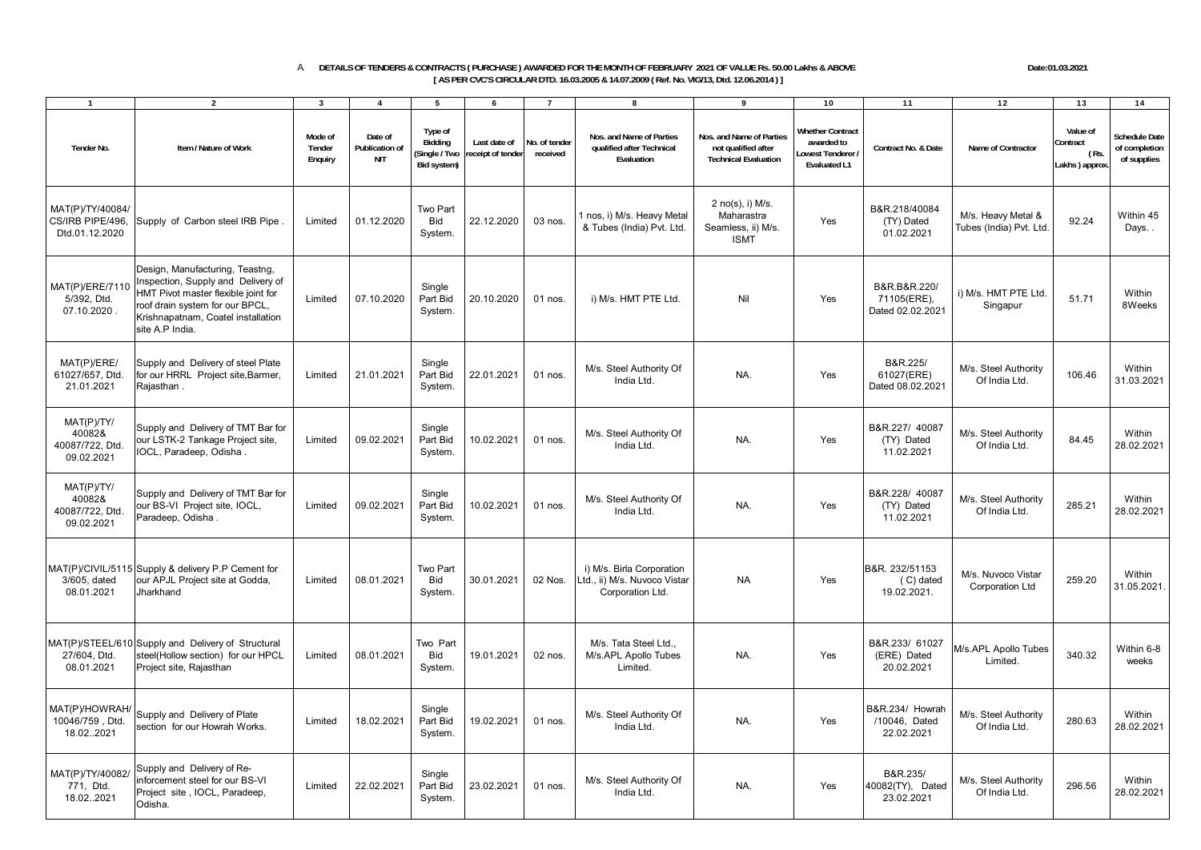## A. **DETAILS OF TENDERS & CONTRACTS ( PURCHASE ) AWARDED FOR THE MONTH OF FEBRUARY 2021 OF VALUE Rs. 50.00 Lakhs & ABOVE Date:01.03.2021 [ AS PER CVC'S CIRCULAR DTD. 16.03.2005 & 14.07.2009 ( Ref. No. VIG/13, Dtd. 12.06.2014 ) ]**

1 1 2 3 3 4 5 6 7 1 8 1 9 1 10 1 11 1 12 1 13 1 14

**Tender No. Item / Nature of WorkMode of Tender Enquiry Date of Publication of NITType of Bidding (Single / Two Bid system) Last date of receipt of tender No. of tender receivedNos. and Name of Parties qualified after Technical EvaluationNos. and Name of Parties not qualified after Technical EvaluationWhether Contract awarded to Lowest Tenderer / Evaluated L1Contract No. & Date Name of ContractorValue of Contract ( Rs. Lakhs ) approx. Schedule Date of completion of supplies** MAT(P)/TY/40084/ CS/IRB PIPE/496, Dtd.01.12.2020 Supply of Carbon steel IRB Pipe . Limited 01.12.2020 Two Part Bid System. 22.12.2020 03 nos.  $\begin{array}{|c|c|c|c|}\n\hline\n & \text{03 nos.} & \text{1 nos, i) M/s. Heavy Metal.} \\
\hline\n& \text{03 nos.} & \text{04.} & \text{08.} & \text{09.} & \text{09.} \\
\hline\n\end{array}$ 2 no(s), i) M/s. Maharastra Seamless, ii) M/s. ISMT YesB&R.218/40084 (TY) Dated 01.02.2021M/s. Heavy Metal & M/s. Heavy Metal & 92.24 Within 45<br>Tubes (India) Pvt. Ltd. 92.24 Days. . MAT(P)/ERE/7110 5/392, Dtd. 07.10.2020 .Design, Manufacturing, Teastng, Inspection, Supply and Delivery of HMT Pivot master flexible joint for roof drain system for our BPCL, Krishnapatnam, Coatel installation site A.P India.Limited 07.10.2020 **Single** Part Bid **System** 20.10.2020 01 nos. i) M/s. HMT PTE Ltd. Nil Yes B&R.B&R.220/ 71105(ERE), Dated 02.02.2021i) M/s. HMT PTE Ltd. 51.71 Within<br>Singapur 8Weeks MAT(P)/ERE/ 61027/657, Dtd. 21.01.2021Supply and Delivery of steel Plate for our HRRL Project site Barmer. Rajasthan . Limited 21.01.2021 **Single** Part Bid System. 22.01.2021 01 nos.  $M/s$ . Steel Authority Of ority Of **NA.** NA. Yes B&R.225/<br>- NA. Yes 61027(ERE) Dated 08.02.2021  $\left[\n\begin{array}{cc}\n\text{boxR.223}\n\text{boxR.23}\n\text{boxR.25}\n\text{boxR.26}\n\text{boxR.27}\n\end{array}\n\right]\n\quad\n\text{M/s. Steel Authority}\n\left[\n\begin{array}{cc}\n\text{in this left} \\
\text{in this left}\n\end{array}\n\right]\n\quad\n\text{106.46}\n\quad\n\text{31.03.202'}\n\end{array}$ MAT(P)/TY/ 40082& 40087/722, Dtd. 09.02.2021 Supply and Delivery of TMT Bar for our LSTK-2 Tankage Project site, IOCL, Paradeep, Odisha . Limited 09.02.2021 **Single** Part Bid **System** 10.02.2021 01 nos.  $M/s$ . Steel Authority Of Pority Of **NA.** NA. Yes B&R.227/ 40087<br>NA. Yes (TY) Dated 11.02.2021  $\begin{array}{c|c|c|c} \mathbf{M/S.} & \mathbf{Steel Authority} & \mathbf{84.45} & \mathbf{Within} \\ \mathbf{1} & \mathbf{Of India Ltd.} & \mathbf{28.02.2021} \end{array}$ MAT(P)/TY/  $400828$  40087/722, Dtd. 09.02.2021 Supply and Delivery of TMT Bar for our BS-VI Project site, IOCL, Paradeep, Odisha . Limited 09.02.2021 **Single** Part Bid **System** 10.02.2021 01 nos.  $M/s$ . Steel Authority Of Pority Of **NA.** NA. Yes B&R.228/ 40087<br>NA. Yes (TY) Dated 11.02.2021 B&R.228/ 40087<br>
(TY) Dated M/s. Steel Authority 285.21 Within 21.02.2021<br>
Of India Ltd. 28.02.2021 MAT(P)/CIVIL/5115 Supply & delivery P.P Cement for 3/605, dated 08.01.2021our APJL Project site at Godda, Jharkhand Limited 08.01.2021 Two Part Bid System. 30.01.2021 02 Nos. i) M/s. Birla Corporation Ltd., ii) M/s. Nuvoco Vistar Corporation Ltd. NA Yes B&R. 232/51153 ( C) dated 19.02.2021. M/s. Nuvoco Vistar  $\frac{M}{s}$ . Nuvoco Vistar 259.20 Within  $\frac{M}{31.05.2021}$ MAT(P)/STEEL/610 Supply and Delivery of Structural 27/604, Dtd. 08.01.2021 steel(Hollow section) for our HPCL Project site, Rajasthan Limited 08.01.2021 Two Part **Bid** System. 19.01.2021 02 nos. M/s. Tata Steel Ltd. M/s.APL Apollo Tubes Limited.NA. Yes B&R.233/ 61027 (ERE) Dated 20.02.2021M/s.APL Apollo Tubes Limited. 340.32 Within 6-8 weeksMAT(P)/HOWRAH  $10046/759$  Dtd. 18.02.2021 Supply and Delivery of Plate section for our Howrah Works. Limited 18.02.2021 **Single** Part Bid System. 19.02.2021 01 nos.  $M/s.$  Steel Authority Of India Ltd. ority Of **NA.** NA. Yes B&R.234/ Howrah **/10046**, Dated 22.02.2021  $\begin{array}{c|c}\n\text{M} \\
\text{M/s. Steel Authority} \\
\hline\n1\n\end{array}\n\quad\n\begin{array}{c}\n\text{Mithin} \\
\text{Of India Ltd.}\n\end{array}\n\quad\n\begin{array}{c}\n\text{280.63} \\
\text{28.02.2021}\n\end{array}$ MAT(P)/TY/40082/  $771$ , Dtd. 18.02.2021 Supply and Delivery of Reinforcement steel for our BS-VI Project site , IOCL, Paradeep, Odisha. Limited 22.02.2021 **Single** Part Bid System. 23.02.2021 01 nos. M/s. Steel Authority Of NA. Yes B&R.235/<br>NA. Yes 40082(TY), Dated 23.02.2021 M/s. Steel Authority 296.56 Within Of India Ltd. 296.56 28.02.2021